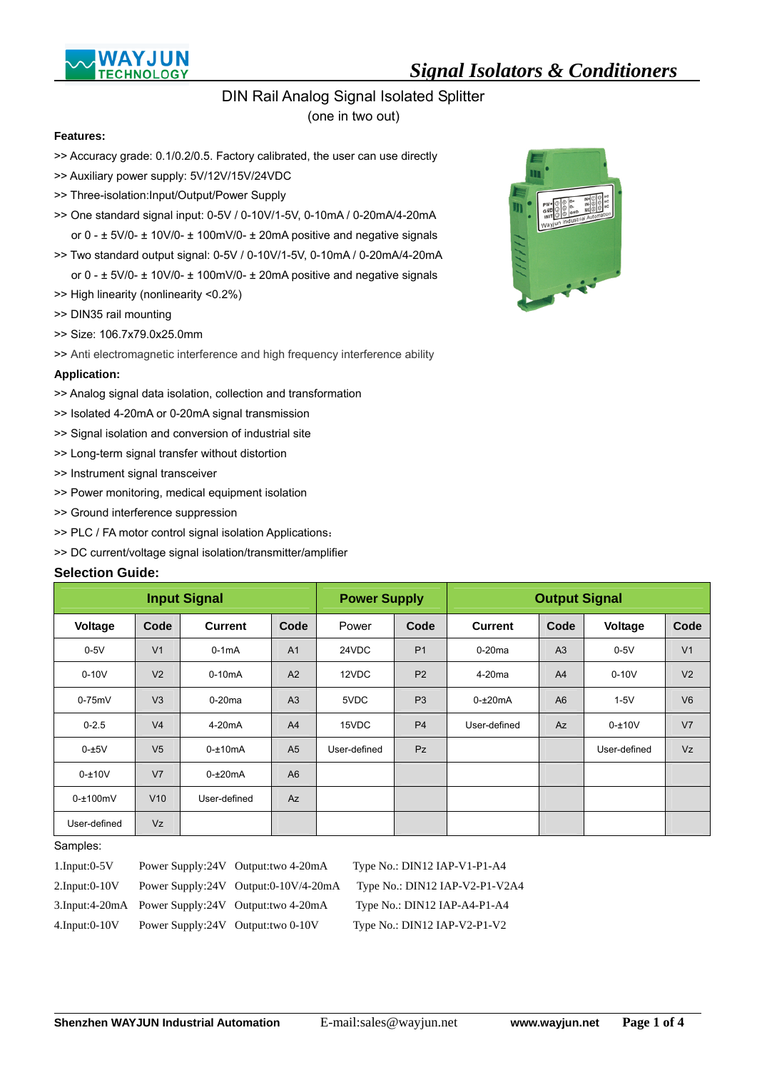

# DIN Rail Analog Signal Isolated Splitter

(one in two out)

#### **Features:**

- >> Accuracy grade: 0.1/0.2/0.5. Factory calibrated, the user can use directly
- >> Auxiliary power supply: 5V/12V/15V/24VDC
- >> Three-isolation:Input/Output/Power Supply
- >> One standard signal input: 0-5V / 0-10V/1-5V, 0-10mA / 0-20mA/4-20mA or 0 - ± 5V/0- ± 10V/0- ± 100mV/0- ± 20mA positive and negative signals
- >> Two standard output signal: 0-5V / 0-10V/1-5V, 0-10mA / 0-20mA/4-20mA or 0 - ± 5V/0- ± 10V/0- ± 100mV/0- ± 20mA positive and negative signals
- >> High linearity (nonlinearity <0.2%)
- >> DIN35 rail mounting
- >> Size: 106.7x79.0x25.0mm
- >> Anti electromagnetic interference and high frequency interference ability

#### **Application:**

- >> Analog signal data isolation, collection and transformation
- >> Isolated 4-20mA or 0-20mA signal transmission
- >> Signal isolation and conversion of industrial site
- >> Long-term signal transfer without distortion
- >> Instrument signal transceiver
- >> Power monitoring, medical equipment isolation
- >> Ground interference suppression
- >> PLC / FA motor control signal isolation Applications:
- >> DC current/voltage signal isolation/transmitter/amplifier

#### **Selection Guide:**

|              |                | <b>Input Signal</b> |                | <b>Power Supply</b> |                |                    | <b>Output Signal</b> |              |                |
|--------------|----------------|---------------------|----------------|---------------------|----------------|--------------------|----------------------|--------------|----------------|
| Voltage      | Code           | <b>Current</b>      | Code           | Power               | Code           | <b>Current</b>     | Code                 | Voltage      | Code           |
| $0-5V$       | V <sub>1</sub> | $0-1mA$             | A <sub>1</sub> | 24VDC               | P <sub>1</sub> | $0-20$ ma          | A <sub>3</sub>       | $0-5V$       | V <sub>1</sub> |
| $0-10V$      | V <sub>2</sub> | $0-10mA$            | A2             | 12VDC               | P <sub>2</sub> | 4-20 <sub>ma</sub> | A <sup>4</sup>       | $0-10V$      | V <sub>2</sub> |
| $0-75mV$     | V <sub>3</sub> | $0-20$ ma           | A <sub>3</sub> | 5VDC                | P <sub>3</sub> | $0 - \pm 20$ mA    | A <sub>6</sub>       | $1-5V$       | V6             |
| $0 - 2.5$    | V <sub>4</sub> | 4-20 <sub>m</sub> A | A <sub>4</sub> | 15VDC               | P <sub>4</sub> | User-defined       | Az                   | $0 - 10V$    | V <sub>7</sub> |
| $0 - \pm 5V$ | V <sub>5</sub> | $0 - \pm 10$ mA     | A <sub>5</sub> | User-defined        | <b>Pz</b>      |                    |                      | User-defined | Vz             |
| $0 - 10V$    | V <sub>7</sub> | $0 - \pm 20$ mA     | A <sub>6</sub> |                     |                |                    |                      |              |                |
| $0 - 100$ mV | V10            | User-defined        | Az             |                     |                |                    |                      |              |                |
| User-defined | <b>Vz</b>      |                     |                |                     |                |                    |                      |              |                |

#### Samples:

 $\overline{a}$ 

| $1.$ Input: $0-5V$  |                                    | Power Supply:24V Output:two 4-20mA                | Type No.: DIN12 IAP-V1-P1-A4   |
|---------------------|------------------------------------|---------------------------------------------------|--------------------------------|
| $2.$ Input:0-10V    |                                    | Power Supply:24V Output:0-10V/4-20mA              | Type No.: DIN12 IAP-V2-P1-V2A4 |
|                     |                                    | 3.Input:4-20mA Power Supply:24V Output:two 4-20mA | Type No.: DIN12 IAP-A4-P1-A4   |
| $4.$ Input:0- $10V$ | Power Supply:24V Output: two 0-10V |                                                   | Type $No.:$ DIN12 IAP-V2-P1-V2 |

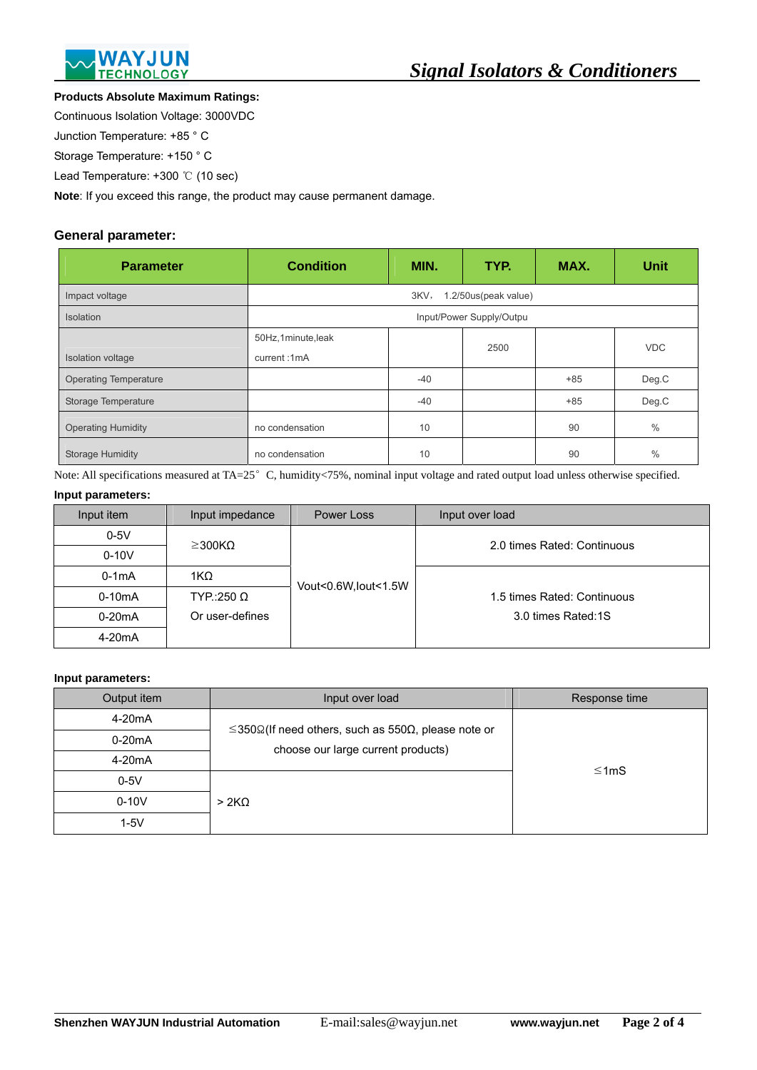

#### **Products Absolute Maximum Ratings:**

Continuous Isolation Voltage: 3000VDC

Junction Temperature: +85 ° C

Storage Temperature: +150 ° C

Lead Temperature: +300 ℃ (10 sec)

**Note**: If you exceed this range, the product may cause permanent damage.

# **General parameter:**

| <b>Parameter</b>             | <b>Condition</b>                 | MIN.  | TYP.                     | MAX.  | <b>Unit</b>   |
|------------------------------|----------------------------------|-------|--------------------------|-------|---------------|
| Impact voltage               |                                  | 3KV,  | 1.2/50us(peak value)     |       |               |
| <b>Isolation</b>             |                                  |       | Input/Power Supply/Outpu |       |               |
| Isolation voltage            | 50Hz,1minute,leak<br>current:1mA |       | 2500                     |       | <b>VDC</b>    |
| <b>Operating Temperature</b> |                                  | $-40$ |                          | $+85$ | Deg.C         |
| Storage Temperature          |                                  | $-40$ |                          | $+85$ | Deg.C         |
| <b>Operating Humidity</b>    | no condensation                  | 10    |                          | 90    | $\frac{0}{0}$ |
| <b>Storage Humidity</b>      | no condensation                  | 10    |                          | 90    | $\frac{0}{0}$ |

Note: All specifications measured at TA=25°C, humidity<75%, nominal input voltage and rated output load unless otherwise specified.

# **Input parameters:**

| Input item          | Input impedance   | Power Loss           | Input over load             |
|---------------------|-------------------|----------------------|-----------------------------|
| $0-5V$              | $\geq$ 300KQ      |                      | 2.0 times Rated: Continuous |
| $0-10V$             |                   |                      |                             |
| $0-1mA$             | 1K $\Omega$       | Vout<0.6W, lout<1.5W |                             |
| $0-10mA$            | $TYP::250 \Omega$ |                      | 1.5 times Rated: Continuous |
| $0-20mA$            | Or user-defines   |                      | 3.0 times Rated:1S          |
| 4-20 <sub>m</sub> A |                   |                      |                             |

#### **Input parameters:**

 $\overline{a}$ 

| Output item         | Input over load                                                                                                  | Response time |
|---------------------|------------------------------------------------------------------------------------------------------------------|---------------|
| 4-20 <sub>m</sub> A |                                                                                                                  |               |
| $0-20mA$            | $\leq$ 350 $\Omega$ (If need others, such as 550 $\Omega$ , please note or<br>choose our large current products) |               |
| 4-20 <sub>m</sub> A |                                                                                                                  | ≤1mS          |
| $0-5V$              |                                                                                                                  |               |
| $0-10V$             | >2K <sub>Ω</sub>                                                                                                 |               |
| $1-5V$              |                                                                                                                  |               |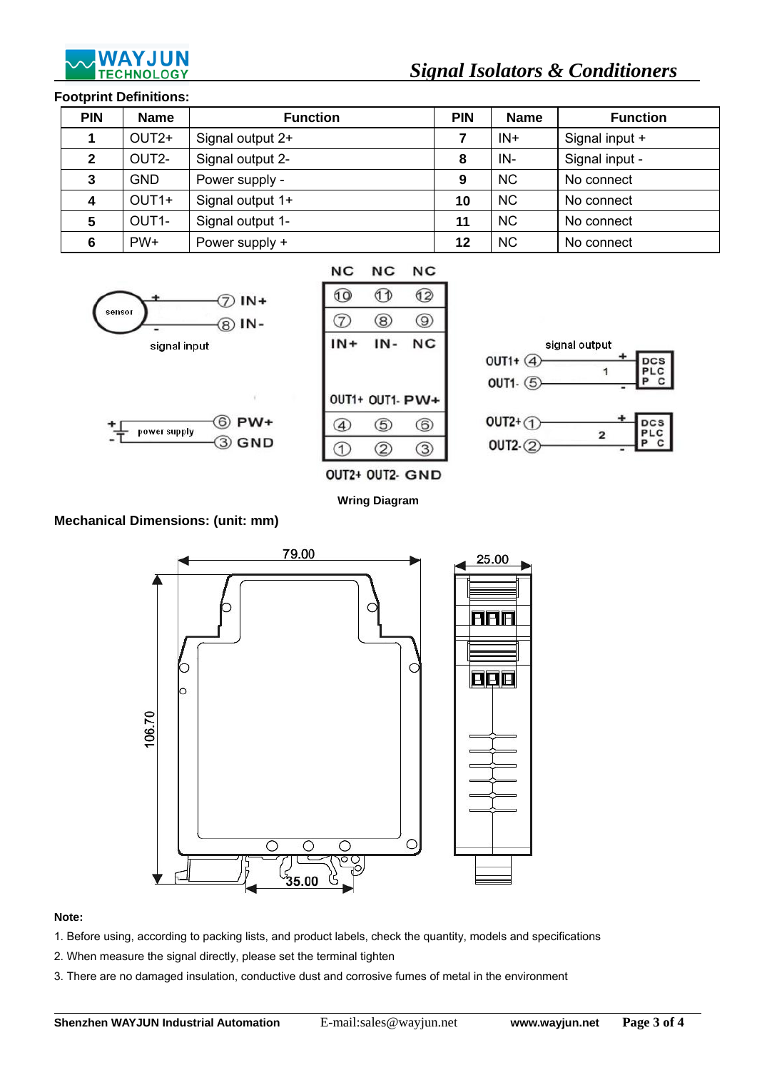

# *Signal Isolators & Conditioners*

### **Footprint Definitions:**

| <b>PIN</b>   | <b>Name</b>       | <b>Function</b>  | <b>PIN</b> | <b>Name</b> | <b>Function</b> |
|--------------|-------------------|------------------|------------|-------------|-----------------|
| 1            | OUT <sub>2+</sub> | Signal output 2+ |            | $IN+$       | Signal input +  |
| $\mathbf{2}$ | OUT2-             | Signal output 2- | 8          | IN-         | Signal input -  |
| 3            | GND.              | Power supply -   | 9          | <b>NC</b>   | No connect      |
| 4            | OUT <sub>1+</sub> | Signal output 1+ | 10         | <b>NC</b>   | No connect      |
| 5            | OUT1-             | Signal output 1- | 11         | <b>NC</b>   | No connect      |
| 6            | $PW+$             | Power supply +   | 12         | <b>NC</b>   | No connect      |





| NC              | NC  |
|-----------------|-----|
| A D             | 62  |
| (8)             | (9) |
| IN-             | NC  |
|                 |     |
| OUT1+ OUT1- PW+ |     |
| (5)             | (6) |
|                 |     |



**Wring Diagram** 

# **Mechanical Dimensions: (unit: mm)**



#### **Note:**

 $\overline{a}$ 

- 1. Before using, according to packing lists, and product labels, check the quantity, models and specifications
- 2. When measure the signal directly, please set the terminal tighten
- 3. There are no damaged insulation, conductive dust and corrosive fumes of metal in the environment